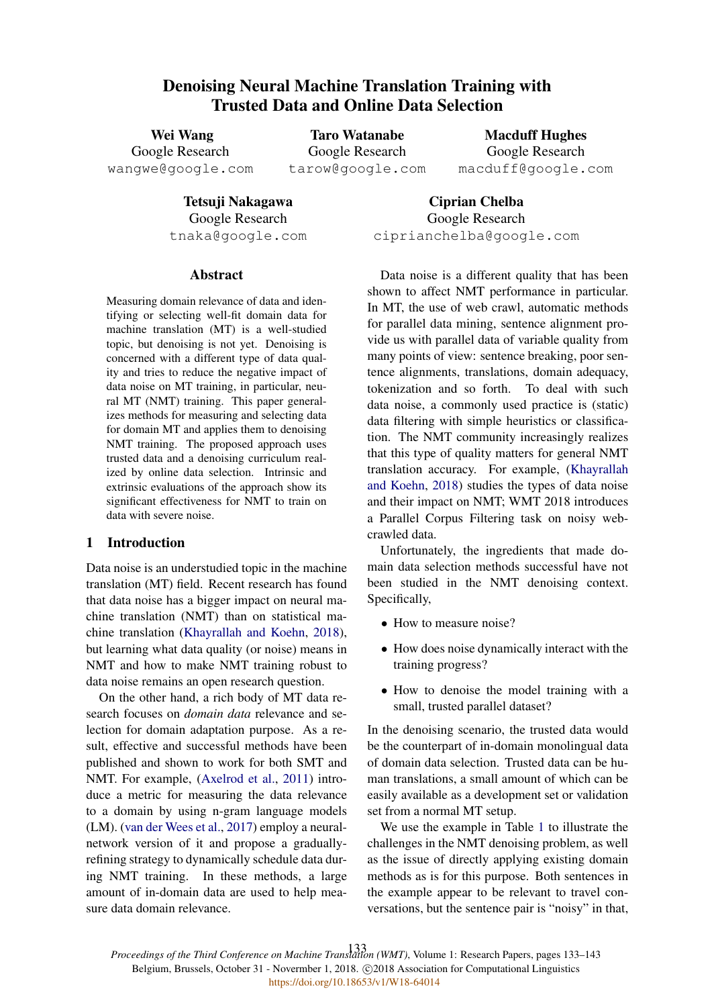# Denoising Neural Machine Translation Training with Trusted Data and Online Data Selection

Wei Wang Google Research wangwe@google.com Taro Watanabe Google Research tarow@google.com

Macduff Hughes Google Research macduff@google.com

Tetsuji Nakagawa Google Research tnaka@google.com

Ciprian Chelba Google Research ciprianchelba@google.com

### Abstract

Measuring domain relevance of data and identifying or selecting well-fit domain data for machine translation (MT) is a well-studied topic, but denoising is not yet. Denoising is concerned with a different type of data quality and tries to reduce the negative impact of data noise on MT training, in particular, neural MT (NMT) training. This paper generalizes methods for measuring and selecting data for domain MT and applies them to denoising NMT training. The proposed approach uses trusted data and a denoising curriculum realized by online data selection. Intrinsic and extrinsic evaluations of the approach show its significant effectiveness for NMT to train on data with severe noise.

# 1 Introduction

Data noise is an understudied topic in the machine translation (MT) field. Recent research has found that data noise has a bigger impact on neural machine translation (NMT) than on statistical machine translation (Khayrallah and Koehn, 2018), but learning what data quality (or noise) means in NMT and how to make NMT training robust to data noise remains an open research question.

On the other hand, a rich body of MT data research focuses on *domain data* relevance and selection for domain adaptation purpose. As a result, effective and successful methods have been published and shown to work for both SMT and NMT. For example, (Axelrod et al., 2011) introduce a metric for measuring the data relevance to a domain by using n-gram language models (LM). (van der Wees et al., 2017) employ a neuralnetwork version of it and propose a graduallyrefining strategy to dynamically schedule data during NMT training. In these methods, a large amount of in-domain data are used to help measure data domain relevance.

Data noise is a different quality that has been shown to affect NMT performance in particular. In MT, the use of web crawl, automatic methods for parallel data mining, sentence alignment provide us with parallel data of variable quality from many points of view: sentence breaking, poor sentence alignments, translations, domain adequacy, tokenization and so forth. To deal with such data noise, a commonly used practice is (static) data filtering with simple heuristics or classification. The NMT community increasingly realizes that this type of quality matters for general NMT translation accuracy. For example, (Khayrallah and Koehn, 2018) studies the types of data noise and their impact on NMT; WMT 2018 introduces a Parallel Corpus Filtering task on noisy webcrawled data.

Unfortunately, the ingredients that made domain data selection methods successful have not been studied in the NMT denoising context. Specifically,

- How to measure noise?
- How does noise dynamically interact with the training progress?
- How to denoise the model training with a small, trusted parallel dataset?

In the denoising scenario, the trusted data would be the counterpart of in-domain monolingual data of domain data selection. Trusted data can be human translations, a small amount of which can be easily available as a development set or validation set from a normal MT setup.

We use the example in Table 1 to illustrate the challenges in the NMT denoising problem, as well as the issue of directly applying existing domain methods as is for this purpose. Both sentences in the example appear to be relevant to travel conversations, but the sentence pair is "noisy" in that,

*Proceedings of the Third Conference on Machine Translation (WMT)*, Volume 1: Research Papers, pages 133–143 133Belgium, Brussels, October 31 - Novermber 1, 2018. @2018 Association for Computational Linguistics <https://doi.org/10.18653/v1/W18-64014>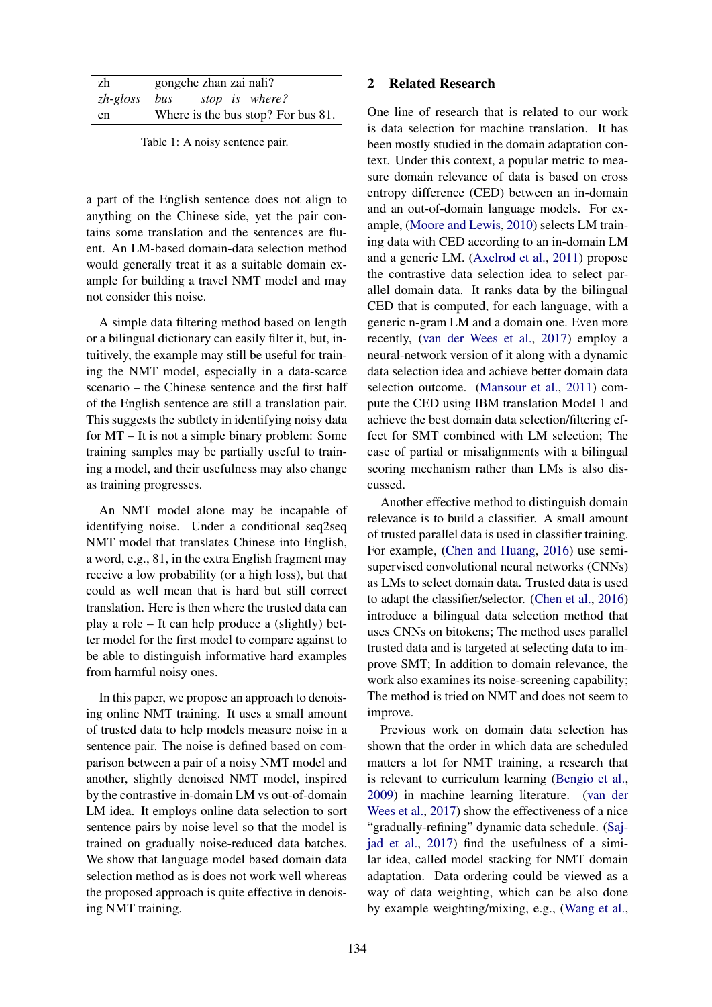| zh                            | gongche zhan zai nali? |  |                                    |
|-------------------------------|------------------------|--|------------------------------------|
| $zh-gloss$ bus stop is where? |                        |  |                                    |
| en                            |                        |  | Where is the bus stop? For bus 81. |

Table 1: A noisy sentence pair.

a part of the English sentence does not align to anything on the Chinese side, yet the pair contains some translation and the sentences are fluent. An LM-based domain-data selection method would generally treat it as a suitable domain example for building a travel NMT model and may not consider this noise.

A simple data filtering method based on length or a bilingual dictionary can easily filter it, but, intuitively, the example may still be useful for training the NMT model, especially in a data-scarce scenario – the Chinese sentence and the first half of the English sentence are still a translation pair. This suggests the subtlety in identifying noisy data for MT – It is not a simple binary problem: Some training samples may be partially useful to training a model, and their usefulness may also change as training progresses.

An NMT model alone may be incapable of identifying noise. Under a conditional seq2seq NMT model that translates Chinese into English, a word, e.g., 81, in the extra English fragment may receive a low probability (or a high loss), but that could as well mean that is hard but still correct translation. Here is then where the trusted data can play a role – It can help produce a (slightly) better model for the first model to compare against to be able to distinguish informative hard examples from harmful noisy ones.

In this paper, we propose an approach to denoising online NMT training. It uses a small amount of trusted data to help models measure noise in a sentence pair. The noise is defined based on comparison between a pair of a noisy NMT model and another, slightly denoised NMT model, inspired by the contrastive in-domain LM vs out-of-domain LM idea. It employs online data selection to sort sentence pairs by noise level so that the model is trained on gradually noise-reduced data batches. We show that language model based domain data selection method as is does not work well whereas the proposed approach is quite effective in denoising NMT training.

### 2 Related Research

One line of research that is related to our work is data selection for machine translation. It has been mostly studied in the domain adaptation context. Under this context, a popular metric to measure domain relevance of data is based on cross entropy difference (CED) between an in-domain and an out-of-domain language models. For example, (Moore and Lewis, 2010) selects LM training data with CED according to an in-domain LM and a generic LM. (Axelrod et al., 2011) propose the contrastive data selection idea to select parallel domain data. It ranks data by the bilingual CED that is computed, for each language, with a generic n-gram LM and a domain one. Even more recently, (van der Wees et al., 2017) employ a neural-network version of it along with a dynamic data selection idea and achieve better domain data selection outcome. (Mansour et al., 2011) compute the CED using IBM translation Model 1 and achieve the best domain data selection/filtering effect for SMT combined with LM selection; The case of partial or misalignments with a bilingual scoring mechanism rather than LMs is also discussed.

Another effective method to distinguish domain relevance is to build a classifier. A small amount of trusted parallel data is used in classifier training. For example, (Chen and Huang, 2016) use semisupervised convolutional neural networks (CNNs) as LMs to select domain data. Trusted data is used to adapt the classifier/selector. (Chen et al., 2016) introduce a bilingual data selection method that uses CNNs on bitokens; The method uses parallel trusted data and is targeted at selecting data to improve SMT; In addition to domain relevance, the work also examines its noise-screening capability; The method is tried on NMT and does not seem to improve.

Previous work on domain data selection has shown that the order in which data are scheduled matters a lot for NMT training, a research that is relevant to curriculum learning (Bengio et al., 2009) in machine learning literature. (van der Wees et al., 2017) show the effectiveness of a nice "gradually-refining" dynamic data schedule. (Sajjad et al., 2017) find the usefulness of a similar idea, called model stacking for NMT domain adaptation. Data ordering could be viewed as a way of data weighting, which can be also done by example weighting/mixing, e.g., (Wang et al.,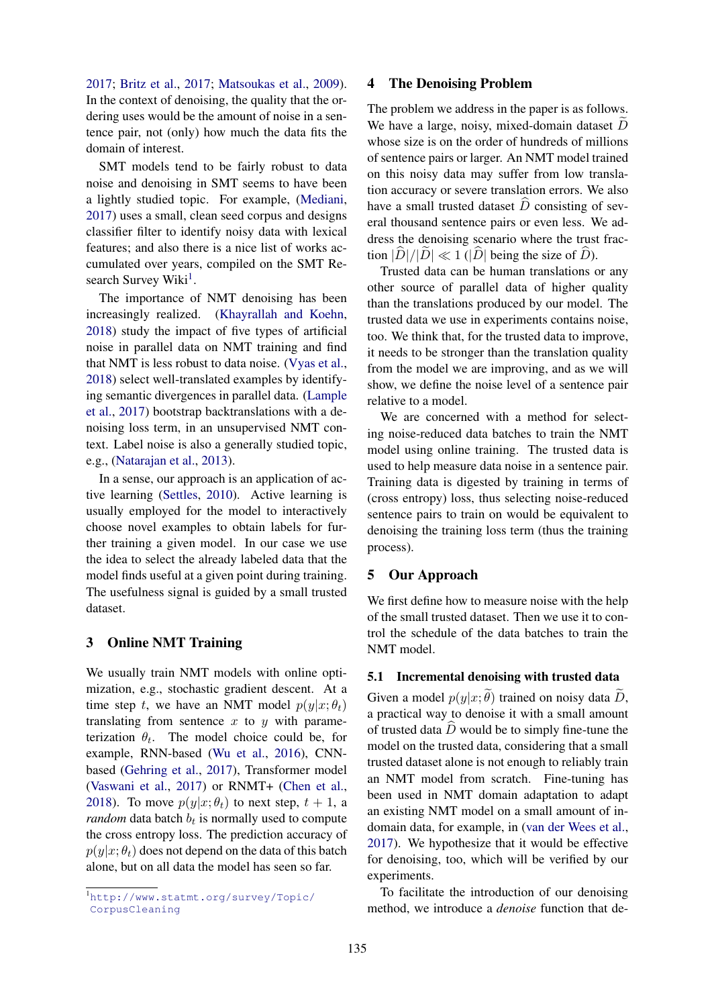2017; Britz et al., 2017; Matsoukas et al., 2009). In the context of denoising, the quality that the ordering uses would be the amount of noise in a sentence pair, not (only) how much the data fits the domain of interest.

SMT models tend to be fairly robust to data noise and denoising in SMT seems to have been a lightly studied topic. For example, (Mediani, 2017) uses a small, clean seed corpus and designs classifier filter to identify noisy data with lexical features; and also there is a nice list of works accumulated over years, compiled on the SMT Research Survey Wiki<sup>1</sup>.

The importance of NMT denoising has been increasingly realized. (Khayrallah and Koehn, 2018) study the impact of five types of artificial noise in parallel data on NMT training and find that NMT is less robust to data noise. (Vyas et al., 2018) select well-translated examples by identifying semantic divergences in parallel data. (Lample et al., 2017) bootstrap backtranslations with a denoising loss term, in an unsupervised NMT context. Label noise is also a generally studied topic, e.g., (Natarajan et al., 2013).

In a sense, our approach is an application of active learning (Settles, 2010). Active learning is usually employed for the model to interactively choose novel examples to obtain labels for further training a given model. In our case we use the idea to select the already labeled data that the model finds useful at a given point during training. The usefulness signal is guided by a small trusted dataset.

# 3 Online NMT Training

We usually train NMT models with online optimization, e.g., stochastic gradient descent. At a time step t, we have an NMT model  $p(y|x; \theta_t)$ translating from sentence  $x$  to  $y$  with parameterization  $\theta_t$ . The model choice could be, for example, RNN-based (Wu et al., 2016), CNNbased (Gehring et al., 2017), Transformer model (Vaswani et al., 2017) or RNMT+ (Chen et al., 2018). To move  $p(y|x; \theta_t)$  to next step,  $t + 1$ , a *random* data batch  $b_t$  is normally used to compute the cross entropy loss. The prediction accuracy of  $p(y|x; \theta_t)$  does not depend on the data of this batch alone, but on all data the model has seen so far.

### 4 The Denoising Problem

The problem we address in the paper is as follows. We have a large, noisy, mixed-domain dataset  $\overline{D}$ whose size is on the order of hundreds of millions of sentence pairs or larger. An NMT model trained on this noisy data may suffer from low translation accuracy or severe translation errors. We also have a small trusted dataset  $\widehat{D}$  consisting of several thousand sentence pairs or even less. We address the denoising scenario where the trust fraction  $|\overline{D}|/|\overline{D}| \ll 1$  ( $|\overline{D}|$  being the size of  $\overline{D}$ ).

Trusted data can be human translations or any other source of parallel data of higher quality than the translations produced by our model. The trusted data we use in experiments contains noise, too. We think that, for the trusted data to improve, it needs to be stronger than the translation quality from the model we are improving, and as we will show, we define the noise level of a sentence pair relative to a model.

We are concerned with a method for selecting noise-reduced data batches to train the NMT model using online training. The trusted data is used to help measure data noise in a sentence pair. Training data is digested by training in terms of (cross entropy) loss, thus selecting noise-reduced sentence pairs to train on would be equivalent to denoising the training loss term (thus the training process).

### 5 Our Approach

We first define how to measure noise with the help of the small trusted dataset. Then we use it to control the schedule of the data batches to train the NMT model.

### 5.1 Incremental denoising with trusted data

Given a model  $p(y|x; \theta)$  trained on noisy data D, a practical way to denoise it with a small amount of trusted data  $\hat{D}$  would be to simply fine-tune the model on the trusted data, considering that a small trusted dataset alone is not enough to reliably train an NMT model from scratch. Fine-tuning has been used in NMT domain adaptation to adapt an existing NMT model on a small amount of indomain data, for example, in (van der Wees et al., 2017). We hypothesize that it would be effective for denoising, too, which will be verified by our experiments.

To facilitate the introduction of our denoising method, we introduce a *denoise* function that de-

<sup>1</sup>http://www.statmt.org/survey/Topic/ CorpusCleaning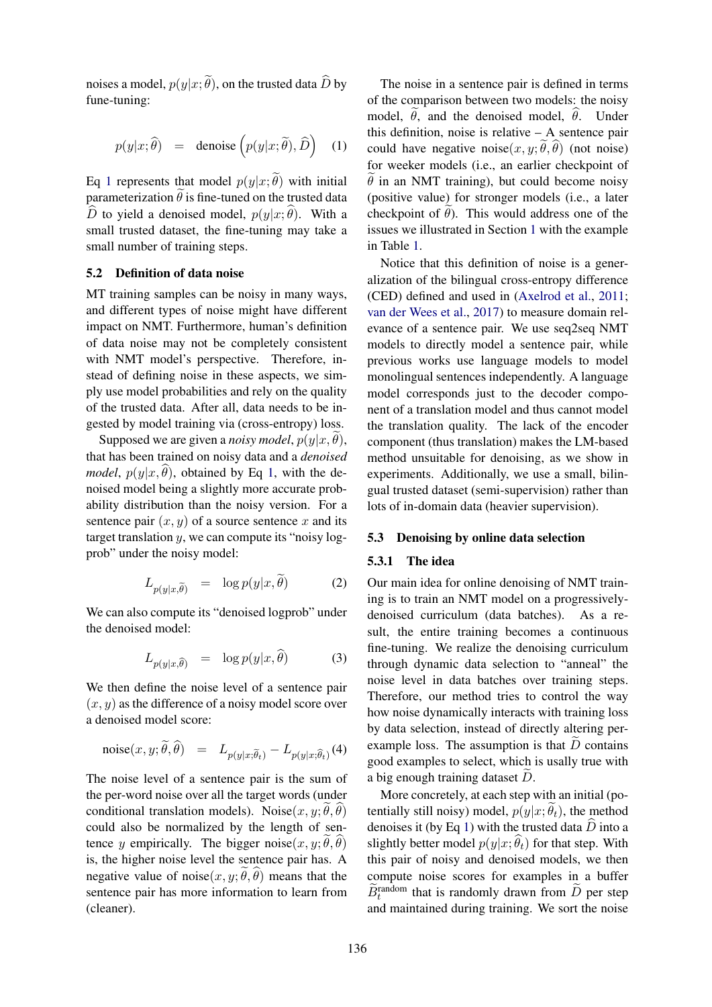noises a model,  $p(y|x; \tilde{\theta})$ , on the trusted data  $\tilde{D}$  by fune-tuning:

$$
p(y|x; \widehat{\theta}) = \text{denoise}\left(p(y|x; \widetilde{\theta}), \widehat{D}\right) \quad (1)
$$

Eq 1 represents that model  $p(y|x; \tilde{\theta})$  with initial parameterization  $\ddot{\theta}$  is fine-tuned on the trusted data D to yield a denoised model,  $p(y|x; \hat{\theta})$ . With a small trusted dataset, the fine-tuning may take a small number of training steps.

### 5.2 Definition of data noise

MT training samples can be noisy in many ways, and different types of noise might have different impact on NMT. Furthermore, human's definition of data noise may not be completely consistent with NMT model's perspective. Therefore, instead of defining noise in these aspects, we simply use model probabilities and rely on the quality of the trusted data. After all, data needs to be ingested by model training via (cross-entropy) loss.

Supposed we are given a *noisy model*,  $p(y|x, \theta)$ , that has been trained on noisy data and a *denoised model*,  $p(y|x, \hat{\theta})$ , obtained by Eq 1, with the denoised model being a slightly more accurate probability distribution than the noisy version. For a sentence pair  $(x, y)$  of a source sentence x and its target translation  $y$ , we can compute its "noisy logprob" under the noisy model:

$$
L_{p(y|x,\tilde{\theta})} = \log p(y|x,\theta) \tag{2}
$$

We can also compute its "denoised logprob" under the denoised model:

$$
L_{p(y|x,\hat{\theta})} = \log p(y|x,\theta) \tag{3}
$$

We then define the noise level of a sentence pair  $(x, y)$  as the difference of a noisy model score over a denoised model score:

$$
\text{noise}(x, y; \tilde{\theta}, \hat{\theta}) = L_{p(y|x; \tilde{\theta}_t)} - L_{p(y|x; \hat{\theta}_t)}(4)
$$

The noise level of a sentence pair is the sum of the per-word noise over all the target words (under conditional translation models). Noise $(x, y; \tilde{\theta}, \tilde{\theta})$ could also be normalized by the length of sentence y empirically. The bigger noise $(x, y; \theta, \theta)$ is, the higher noise level the sentence pair has. A negative value of noise $(x, y; \theta, \theta)$  means that the sentence pair has more information to learn from (cleaner).

The noise in a sentence pair is defined in terms of the comparison between two models: the noisy model,  $\hat{\theta}$ , and the denoised model,  $\hat{\theta}$ . Under this definition, noise is relative – A sentence pair could have negative noise $(x, y; \hat{\theta}, \hat{\theta})$  (not noise) for weeker models (i.e., an earlier checkpoint of  $\theta$  in an NMT training), but could become noisy (positive value) for stronger models (i.e., a later checkpoint of  $\theta$ ). This would address one of the issues we illustrated in Section 1 with the example in Table 1.

Notice that this definition of noise is a generalization of the bilingual cross-entropy difference (CED) defined and used in (Axelrod et al., 2011; van der Wees et al., 2017) to measure domain relevance of a sentence pair. We use seq2seq NMT models to directly model a sentence pair, while previous works use language models to model monolingual sentences independently. A language model corresponds just to the decoder component of a translation model and thus cannot model the translation quality. The lack of the encoder component (thus translation) makes the LM-based method unsuitable for denoising, as we show in experiments. Additionally, we use a small, bilingual trusted dataset (semi-supervision) rather than lots of in-domain data (heavier supervision).

#### 5.3 Denoising by online data selection

### 5.3.1 The idea

Our main idea for online denoising of NMT training is to train an NMT model on a progressivelydenoised curriculum (data batches). As a result, the entire training becomes a continuous fine-tuning. We realize the denoising curriculum through dynamic data selection to "anneal" the noise level in data batches over training steps. Therefore, our method tries to control the way how noise dynamically interacts with training loss by data selection, instead of directly altering perexample loss. The assumption is that  $D$  contains good examples to select, which is usally true with a big enough training dataset  $D$ .

More concretely, at each step with an initial (potentially still noisy) model,  $p(y|x; \tilde{\theta}_t)$ , the method denoises it (by Eq 1) with the trusted data  $\hat{D}$  into a slightly better model  $p(y|x; \hat{\theta}_t)$  for that step. With this pair of noisy and denoised models, we then compute noise scores for examples in a buffer  $\widetilde{B}_{t}^{\text{random}}$  that is randomly drawn from  $\widetilde{D}$  per step and maintained during training. We sort the noise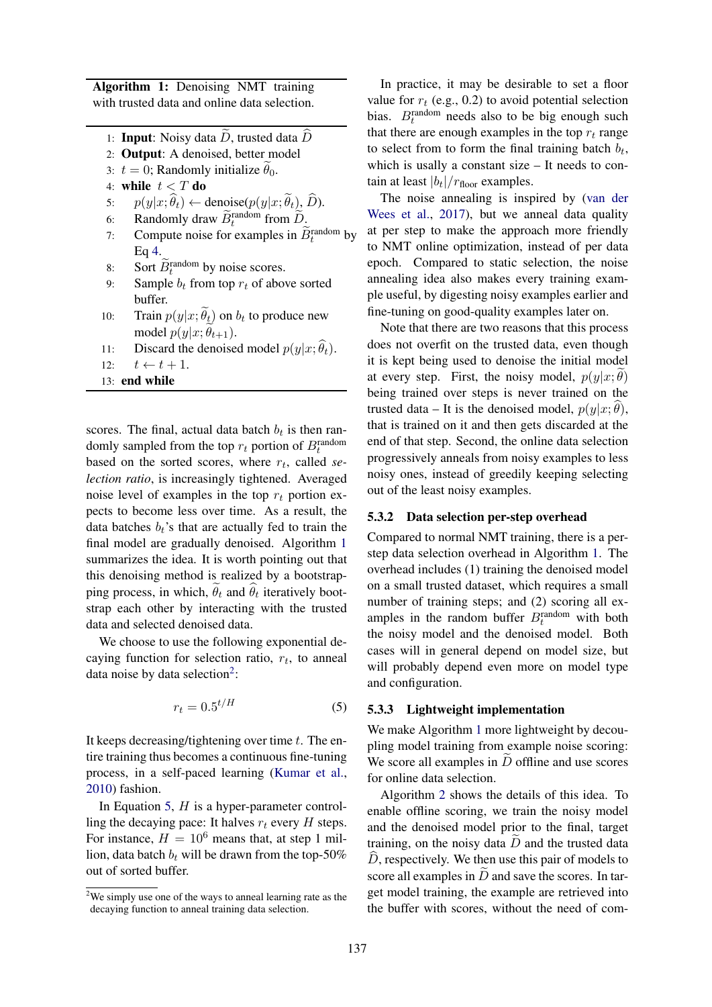Algorithm 1: Denoising NMT training with trusted data and online data selection.

- 1: **Input:** Noisy data  $\overline{D}$ , trusted data  $\overline{D}$
- 2: Output: A denoised, better model
- 3:  $t = 0$ ; Randomly initialize  $\theta_0$ .
- 4: while  $t < T$  do
- 5:  $p(y|x; \hat{\theta}_t) \leftarrow \text{denoise}(p(y|x; \hat{\theta}_t), \hat{D}).$ <br>6: Randomly draw  $\widetilde{B}_t^{\text{random}}$  from  $\widetilde{D}$ .
- 6: Randomly draw  $\widetilde{B}_t^{\text{random}}$  from  $\widetilde{D}_t$
- 7: Compute noise for examples in  $\widetilde{B}_t^{\text{random}}$  by Eq 4.
- 8: Sort  $\widetilde{B}_t^{\text{random}}$  by noise scores.
- 9: Sample  $b_t$  from top  $r_t$  of above sorted buffer.
- 10: Train  $p(y|x; \theta_t)$  on  $b_t$  to produce new model  $p(y|x; \theta_{t+1})$ .
- 11: Discard the denoised model  $p(y|x; \hat{\theta}_t)$ .<br>12:  $t \leftarrow t + 1$ .

 $t \leftarrow t + 1.$ 

13: end while

scores. The final, actual data batch  $b_t$  is then randomly sampled from the top  $r_t$  portion of  $B_t^{\text{random}}$ based on the sorted scores, where  $r_t$ , called se*lection ratio*, is increasingly tightened. Averaged noise level of examples in the top  $r_t$  portion expects to become less over time. As a result, the data batches  $b_t$ 's that are actually fed to train the final model are gradually denoised. Algorithm 1 summarizes the idea. It is worth pointing out that this denoising method is realized by a bootstrapping process, in which,  $\theta_t$  and  $\theta_t$  iteratively bootstrap each other by interacting with the trusted data and selected denoised data.

We choose to use the following exponential decaying function for selection ratio,  $r_t$ , to anneal data noise by data selection<sup>2</sup>:

$$
r_t = 0.5^{t/H} \tag{5}
$$

It keeps decreasing/tightening over time  $t$ . The entire training thus becomes a continuous fine-tuning process, in a self-paced learning (Kumar et al., 2010) fashion.

In Equation 5,  $H$  is a hyper-parameter controlling the decaying pace: It halves  $r_t$  every H steps. For instance,  $H = 10^6$  means that, at step 1 million, data batch  $b_t$  will be drawn from the top-50% out of sorted buffer.

In practice, it may be desirable to set a floor value for  $r_t$  (e.g., 0.2) to avoid potential selection bias.  $B_t^{\text{random}}$  needs also to be big enough such that there are enough examples in the top  $r_t$  range to select from to form the final training batch  $b_t$ , which is usally a constant size – It needs to contain at least  $|b_t|/r_{\text{floor}}$  examples.

The noise annealing is inspired by (van der Wees et al., 2017), but we anneal data quality at per step to make the approach more friendly to NMT online optimization, instead of per data epoch. Compared to static selection, the noise annealing idea also makes every training example useful, by digesting noisy examples earlier and fine-tuning on good-quality examples later on.

Note that there are two reasons that this process does not overfit on the trusted data, even though it is kept being used to denoise the initial model at every step. First, the noisy model,  $p(y|x; \theta)$ being trained over steps is never trained on the trusted data – It is the denoised model,  $p(y|x; \theta)$ , that is trained on it and then gets discarded at the end of that step. Second, the online data selection progressively anneals from noisy examples to less noisy ones, instead of greedily keeping selecting out of the least noisy examples.

### 5.3.2 Data selection per-step overhead

Compared to normal NMT training, there is a perstep data selection overhead in Algorithm 1. The overhead includes (1) training the denoised model on a small trusted dataset, which requires a small number of training steps; and (2) scoring all examples in the random buffer  $B_t^{\text{random}}$  with both the noisy model and the denoised model. Both cases will in general depend on model size, but will probably depend even more on model type and configuration.

### 5.3.3 Lightweight implementation

We make Algorithm 1 more lightweight by decoupling model training from example noise scoring: We score all examples in  $\overline{D}$  offline and use scores for online data selection.

Algorithm 2 shows the details of this idea. To enable offline scoring, we train the noisy model and the denoised model prior to the final, target training, on the noisy data  $\widetilde{D}$  and the trusted data  $\hat{D}$ , respectively. We then use this pair of models to score all examples in  $D$  and save the scores. In target model training, the example are retrieved into the buffer with scores, without the need of com-

<sup>&</sup>lt;sup>2</sup>We simply use one of the ways to anneal learning rate as the decaying function to anneal training data selection.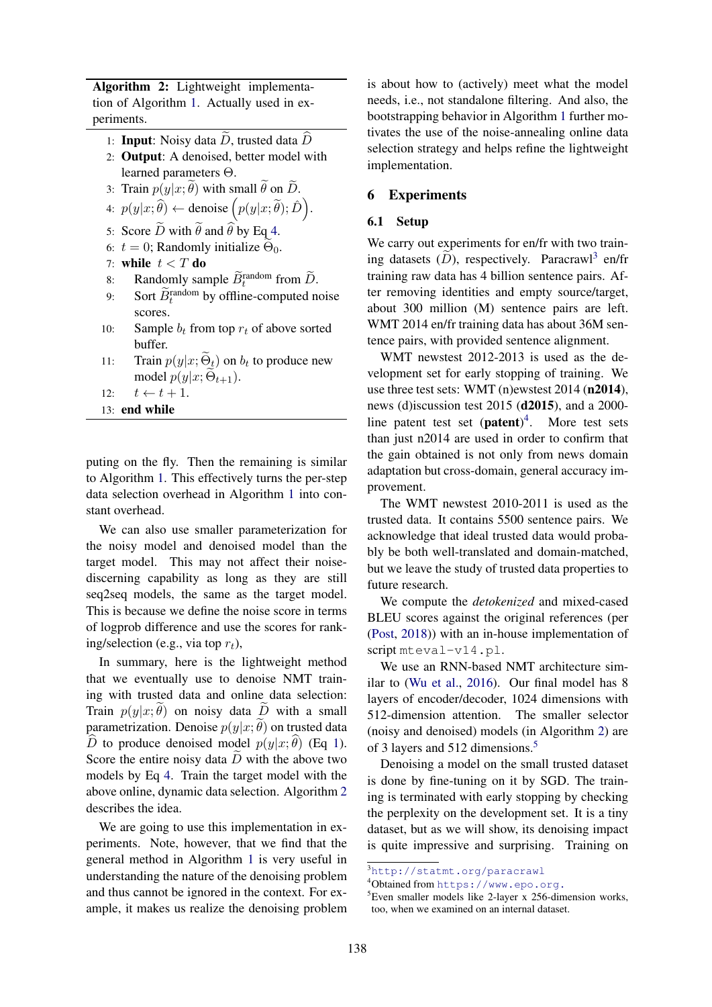Algorithm 2: Lightweight implementation of Algorithm 1. Actually used in experiments.

- 1: **Input**: Noisy data  $\widetilde{D}$ , trusted data  $\widehat{D}$
- 2: Output: A denoised, better model with learned parameters Θ.
- 3: Train  $p(y|x; \tilde{\theta})$  with small  $\tilde{\theta}$  on  $\tilde{D}$ .
- 4:  $p(y|x; \widehat{\theta}) \leftarrow$  denoise  $(p(y|x; \widetilde{\theta}); \widehat{D})$ .
- 5: Score  $\widetilde{D}$  with  $\widetilde{\theta}$  and  $\widehat{\theta}$  by Eq 4.
- 6:  $t = 0$ ; Randomly initialize  $\Theta_0$ .
- 7: while  $t < T$  do
- 8: Randomly sample  $\widetilde{B}_t^{\text{random}}$  from  $\widetilde{D}$ .
- 9: Sort  $\widetilde{B}_t^{\text{random}}$  by offline-computed noise scores.
- 10: Sample  $b_t$  from top  $r_t$  of above sorted buffer.
- 11: Train  $p(y|x; \Theta_t)$  on  $b_t$  to produce new model  $p(y|x; \widetilde{\Theta}_{t+1})$ .
- 12:  $t \leftarrow t + 1$ .
- 13: end while

puting on the fly. Then the remaining is similar to Algorithm 1. This effectively turns the per-step data selection overhead in Algorithm 1 into constant overhead.

We can also use smaller parameterization for the noisy model and denoised model than the target model. This may not affect their noisediscerning capability as long as they are still seq2seq models, the same as the target model. This is because we define the noise score in terms of logprob difference and use the scores for ranking/selection (e.g., via top  $r_t$ ),

In summary, here is the lightweight method that we eventually use to denoise NMT training with trusted data and online data selection: Train  $p(y|x; \theta)$  on noisy data D with a small parametrization. Denoise  $p(y|x; \tilde{\theta})$  on trusted data  $\widehat{D}$  to produce denoised model  $p(y|x; \widehat{\theta})$  (Eq 1). Score the entire noisy data  $D$  with the above two models by Eq 4. Train the target model with the above online, dynamic data selection. Algorithm 2 describes the idea.

We are going to use this implementation in experiments. Note, however, that we find that the general method in Algorithm 1 is very useful in understanding the nature of the denoising problem and thus cannot be ignored in the context. For example, it makes us realize the denoising problem

is about how to (actively) meet what the model needs, i.e., not standalone filtering. And also, the bootstrapping behavior in Algorithm 1 further motivates the use of the noise-annealing online data selection strategy and helps refine the lightweight implementation.

# 6 Experiments

### 6.1 Setup

We carry out experiments for en/fr with two training datasets  $(D)$ , respectively. Paracrawl<sup>3</sup> en/fr training raw data has 4 billion sentence pairs. After removing identities and empty source/target, about 300 million (M) sentence pairs are left. WMT 2014 en/fr training data has about 36M sentence pairs, with provided sentence alignment.

WMT newstest 2012-2013 is used as the development set for early stopping of training. We use three test sets: WMT (n)ewstest 2014 (n2014), news (d)iscussion test 2015 (d2015), and a 2000 line patent test set  $(path)^4$ . More test sets than just n2014 are used in order to confirm that the gain obtained is not only from news domain adaptation but cross-domain, general accuracy improvement.

The WMT newstest 2010-2011 is used as the trusted data. It contains 5500 sentence pairs. We acknowledge that ideal trusted data would probably be both well-translated and domain-matched, but we leave the study of trusted data properties to future research.

We compute the *detokenized* and mixed-cased BLEU scores against the original references (per (Post, 2018)) with an in-house implementation of script mteval-v14.pl.

We use an RNN-based NMT architecture similar to (Wu et al., 2016). Our final model has 8 layers of encoder/decoder, 1024 dimensions with 512-dimension attention. The smaller selector (noisy and denoised) models (in Algorithm 2) are of 3 layers and 512 dimensions.<sup>5</sup>

Denoising a model on the small trusted dataset is done by fine-tuning on it by SGD. The training is terminated with early stopping by checking the perplexity on the development set. It is a tiny dataset, but as we will show, its denoising impact is quite impressive and surprising. Training on

<sup>3</sup>http://statmt.org/paracrawl

<sup>4</sup>Obtained from https://www.epo.org.

 ${}^{5}$ Even smaller models like 2-layer x 256-dimension works, too, when we examined on an internal dataset.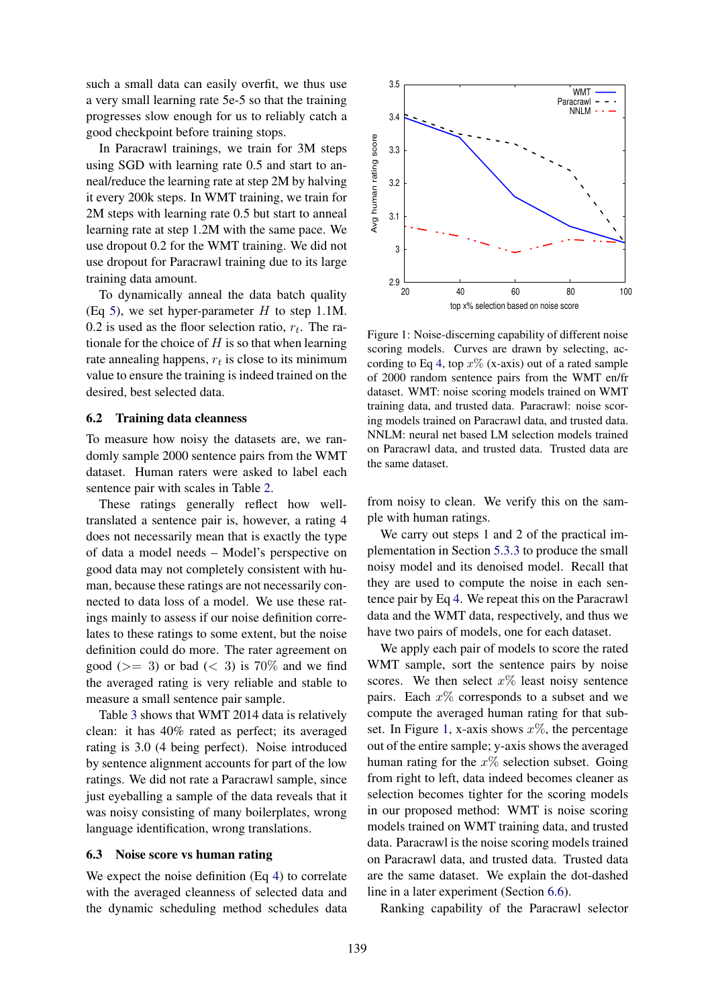such a small data can easily overfit, we thus use a very small learning rate 5e-5 so that the training progresses slow enough for us to reliably catch a good checkpoint before training stops.

In Paracrawl trainings, we train for 3M steps using SGD with learning rate 0.5 and start to anneal/reduce the learning rate at step 2M by halving it every 200k steps. In WMT training, we train for 2M steps with learning rate 0.5 but start to anneal learning rate at step 1.2M with the same pace. We use dropout 0.2 for the WMT training. We did not use dropout for Paracrawl training due to its large training data amount.

To dynamically anneal the data batch quality (Eq 5), we set hyper-parameter  $H$  to step 1.1M. 0.2 is used as the floor selection ratio,  $r_t$ . The rationale for the choice of  $H$  is so that when learning rate annealing happens,  $r_t$  is close to its minimum value to ensure the training is indeed trained on the desired, best selected data.

### 6.2 Training data cleanness

To measure how noisy the datasets are, we randomly sample 2000 sentence pairs from the WMT dataset. Human raters were asked to label each sentence pair with scales in Table 2.

These ratings generally reflect how welltranslated a sentence pair is, however, a rating 4 does not necessarily mean that is exactly the type of data a model needs – Model's perspective on good data may not completely consistent with human, because these ratings are not necessarily connected to data loss of a model. We use these ratings mainly to assess if our noise definition correlates to these ratings to some extent, but the noise definition could do more. The rater agreement on good ( $>=$  3) or bad ( $<$  3) is 70% and we find the averaged rating is very reliable and stable to measure a small sentence pair sample.

Table 3 shows that WMT 2014 data is relatively clean: it has 40% rated as perfect; its averaged rating is 3.0 (4 being perfect). Noise introduced by sentence alignment accounts for part of the low ratings. We did not rate a Paracrawl sample, since just eyeballing a sample of the data reveals that it was noisy consisting of many boilerplates, wrong language identification, wrong translations.

#### 6.3 Noise score vs human rating

We expect the noise definition (Eq 4) to correlate with the averaged cleanness of selected data and the dynamic scheduling method schedules data



Figure 1: Noise-discerning capability of different noise scoring models. Curves are drawn by selecting, according to Eq 4, top  $x\%$  (x-axis) out of a rated sample of 2000 random sentence pairs from the WMT en/fr dataset. WMT: noise scoring models trained on WMT training data, and trusted data. Paracrawl: noise scoring models trained on Paracrawl data, and trusted data. NNLM: neural net based LM selection models trained on Paracrawl data, and trusted data. Trusted data are the same dataset.

from noisy to clean. We verify this on the sample with human ratings.

We carry out steps 1 and 2 of the practical implementation in Section 5.3.3 to produce the small noisy model and its denoised model. Recall that they are used to compute the noise in each sentence pair by Eq 4. We repeat this on the Paracrawl data and the WMT data, respectively, and thus we have two pairs of models, one for each dataset.

We apply each pair of models to score the rated WMT sample, sort the sentence pairs by noise scores. We then select  $x\%$  least noisy sentence pairs. Each  $x\%$  corresponds to a subset and we compute the averaged human rating for that subset. In Figure 1, x-axis shows  $x\%$ , the percentage out of the entire sample; y-axis shows the averaged human rating for the  $x\%$  selection subset. Going from right to left, data indeed becomes cleaner as selection becomes tighter for the scoring models in our proposed method: WMT is noise scoring models trained on WMT training data, and trusted data. Paracrawl is the noise scoring models trained on Paracrawl data, and trusted data. Trusted data are the same dataset. We explain the dot-dashed line in a later experiment (Section 6.6).

Ranking capability of the Paracrawl selector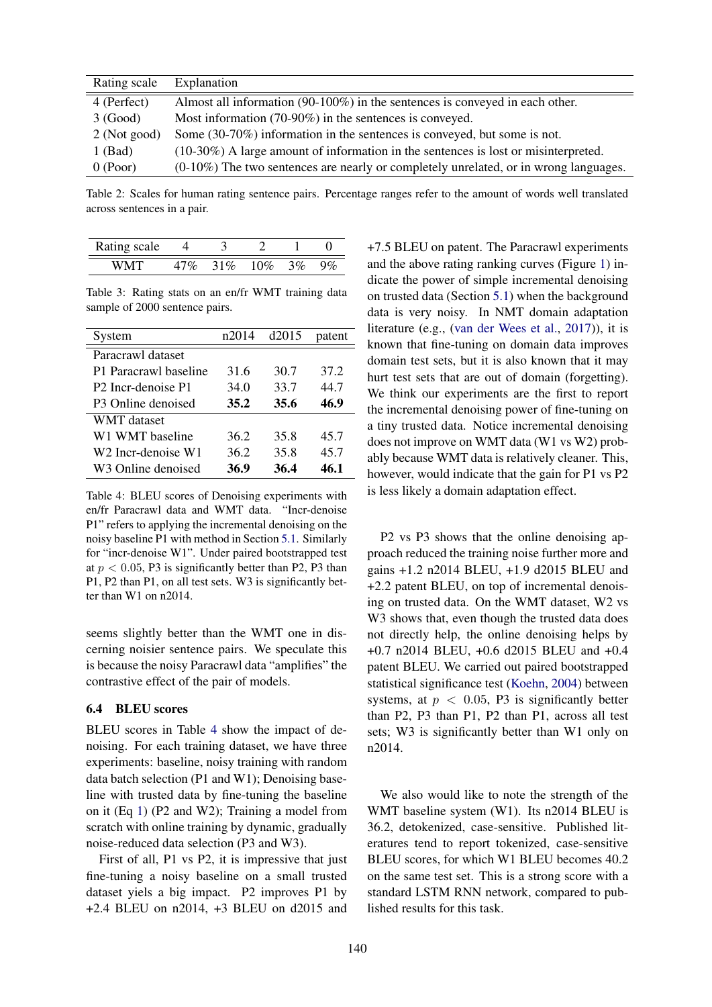| Rating scale | Explanation                                                                             |
|--------------|-----------------------------------------------------------------------------------------|
| 4 (Perfect)  | Almost all information $(90-100\%)$ in the sentences is conveyed in each other.         |
| 3 (Good)     | Most information $(70-90\%)$ in the sentences is conveyed.                              |
| 2 (Not good) | Some (30-70%) information in the sentences is conveyed, but some is not.                |
| $1$ (Bad)    | $(10-30\%)$ A large amount of information in the sentences is lost or misinterpreted.   |
| $0$ (Poor)   | $(0-10\%)$ The two sentences are nearly or completely unrelated, or in wrong languages. |

Table 2: Scales for human rating sentence pairs. Percentage ranges refer to the amount of words well translated across sentences in a pair.

| Rating scale |        |              |  |
|--------------|--------|--------------|--|
| WM'I         | $51\%$ | $10\% - 3\%$ |  |

Table 3: Rating stats on an en/fr WMT training data sample of 2000 sentence pairs.

| System                                     | n2014 | d2015 | patent |
|--------------------------------------------|-------|-------|--------|
| Paracrawl dataset                          |       |       |        |
| P1 Paracrawl baseline                      | 31.6  | 30.7  | 37.2   |
| P <sub>2</sub> Incr-denoise P <sub>1</sub> | 34.0  | 33.7  | 44.7   |
| P3 Online denoised                         | 35.2  | 35.6  | 46.9   |
| WMT dataset                                |       |       |        |
| W1 WMT baseline                            | 36.2  | 35.8  | 45.7   |
| W2 Incr-denoise W1                         | 36.2  | 35.8  | 45.7   |
| W3 Online denoised                         | 36.9  | 36.4  | 46.1   |

Table 4: BLEU scores of Denoising experiments with en/fr Paracrawl data and WMT data. "Incr-denoise P1" refers to applying the incremental denoising on the noisy baseline P1 with method in Section 5.1. Similarly for "incr-denoise W1". Under paired bootstrapped test at  $p < 0.05$ , P3 is significantly better than P2, P3 than P1, P2 than P1, on all test sets. W3 is significantly better than W1 on n2014.

seems slightly better than the WMT one in discerning noisier sentence pairs. We speculate this is because the noisy Paracrawl data "amplifies" the contrastive effect of the pair of models.

#### 6.4 BLEU scores

BLEU scores in Table 4 show the impact of denoising. For each training dataset, we have three experiments: baseline, noisy training with random data batch selection (P1 and W1); Denoising baseline with trusted data by fine-tuning the baseline on it (Eq 1) (P2 and W2); Training a model from scratch with online training by dynamic, gradually noise-reduced data selection (P3 and W3).

First of all, P1 vs P2, it is impressive that just fine-tuning a noisy baseline on a small trusted dataset yiels a big impact. P2 improves P1 by +2.4 BLEU on n2014, +3 BLEU on d2015 and

+7.5 BLEU on patent. The Paracrawl experiments and the above rating ranking curves (Figure 1) indicate the power of simple incremental denoising on trusted data (Section 5.1) when the background data is very noisy. In NMT domain adaptation literature (e.g., (van der Wees et al., 2017)), it is known that fine-tuning on domain data improves domain test sets, but it is also known that it may hurt test sets that are out of domain (forgetting). We think our experiments are the first to report the incremental denoising power of fine-tuning on a tiny trusted data. Notice incremental denoising does not improve on WMT data (W1 vs W2) probably because WMT data is relatively cleaner. This, however, would indicate that the gain for P1 vs P2 is less likely a domain adaptation effect.

P2 vs P3 shows that the online denoising approach reduced the training noise further more and gains +1.2 n2014 BLEU, +1.9 d2015 BLEU and +2.2 patent BLEU, on top of incremental denoising on trusted data. On the WMT dataset, W2 vs W3 shows that, even though the trusted data does not directly help, the online denoising helps by +0.7 n2014 BLEU, +0.6 d2015 BLEU and +0.4 patent BLEU. We carried out paired bootstrapped statistical significance test (Koehn, 2004) between systems, at  $p < 0.05$ , P3 is significantly better than P2, P3 than P1, P2 than P1, across all test sets; W3 is significantly better than W1 only on n2014.

We also would like to note the strength of the WMT baseline system (W1). Its n2014 BLEU is 36.2, detokenized, case-sensitive. Published literatures tend to report tokenized, case-sensitive BLEU scores, for which W1 BLEU becomes 40.2 on the same test set. This is a strong score with a standard LSTM RNN network, compared to published results for this task.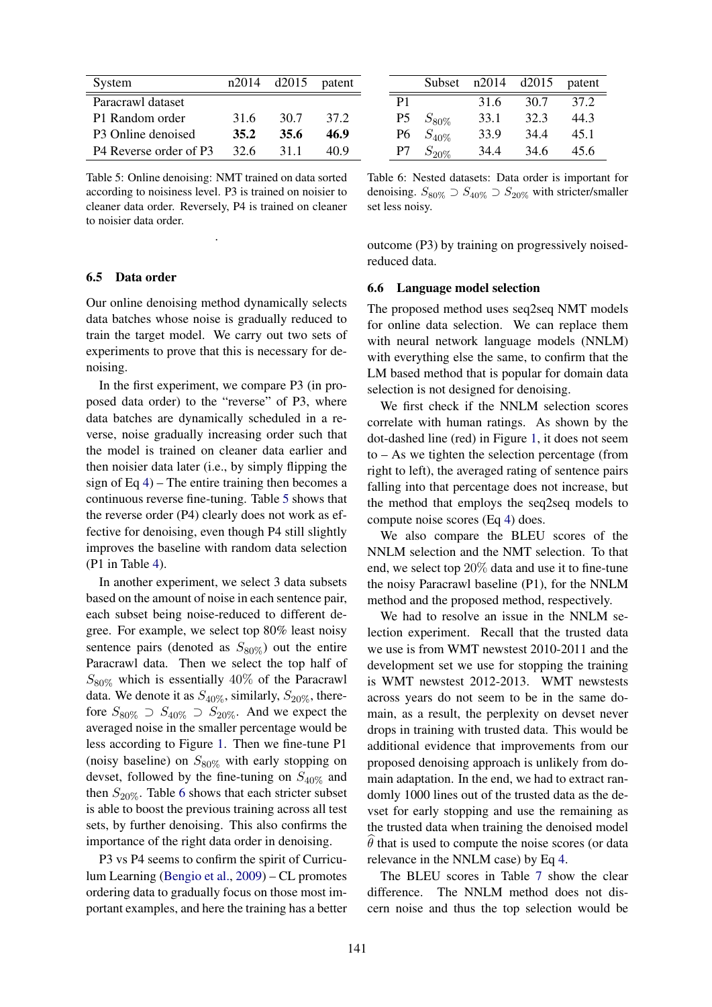| System                                         | n2014 | d2015 | patent |
|------------------------------------------------|-------|-------|--------|
| Paracrawl dataset                              |       |       |        |
| P1 Random order                                | 31.6  | 30.7  | 37 2   |
| P3 Online denoised                             | 35.2  | 35.6  | 46.9   |
| P <sub>4</sub> Reverse order of P <sub>3</sub> | 32 G  | 311   | 40.9   |

Table 5: Online denoising: NMT trained on data sorted according to noisiness level. P3 is trained on noisier to cleaner data order. Reversely, P4 is trained on cleaner to noisier data order.

.

#### 6.5 Data order

Our online denoising method dynamically selects data batches whose noise is gradually reduced to train the target model. We carry out two sets of experiments to prove that this is necessary for denoising.

In the first experiment, we compare P3 (in proposed data order) to the "reverse" of P3, where data batches are dynamically scheduled in a reverse, noise gradually increasing order such that the model is trained on cleaner data earlier and then noisier data later (i.e., by simply flipping the sign of Eq  $4$ ) – The entire training then becomes a continuous reverse fine-tuning. Table 5 shows that the reverse order (P4) clearly does not work as effective for denoising, even though P4 still slightly improves the baseline with random data selection (P1 in Table 4).

In another experiment, we select 3 data subsets based on the amount of noise in each sentence pair, each subset being noise-reduced to different degree. For example, we select top 80% least noisy sentence pairs (denoted as  $S_{80\%}$ ) out the entire Paracrawl data. Then we select the top half of  $S_{80\%}$  which is essentially 40% of the Paracrawl data. We denote it as  $S_{40\%}$ , similarly,  $S_{20\%}$ , therefore  $S_{80\%}$   $\supset S_{40\%}$   $\supset S_{20\%}$ . And we expect the averaged noise in the smaller percentage would be less according to Figure 1. Then we fine-tune P1 (noisy baseline) on  $S_{80\%}$  with early stopping on devset, followed by the fine-tuning on  $S_{40\%}$  and then  $S_{20\%}$ . Table 6 shows that each stricter subset is able to boost the previous training across all test sets, by further denoising. This also confirms the importance of the right data order in denoising.

P3 vs P4 seems to confirm the spirit of Curriculum Learning (Bengio et al., 2009) – CL promotes ordering data to gradually focus on those most important examples, and here the training has a better

|    | Subset     | n2014 | d2015 | patent |
|----|------------|-------|-------|--------|
| P1 |            | 31.6  | 30.7  | 37.2   |
| P5 | $S_{80\%}$ | 33.1  | 32.3  | 44.3   |
| Р6 | $S_{40\%}$ | 33.9  | 34.4  | 45.1   |
| P7 | $S_{20\%}$ | 34.4  | 34.6  | 45.6   |

Table 6: Nested datasets: Data order is important for denoising.  $S_{80\%} \supset S_{40\%} \supset S_{20\%}$  with stricter/smaller set less noisy.

outcome (P3) by training on progressively noisedreduced data.

#### 6.6 Language model selection

The proposed method uses seq2seq NMT models for online data selection. We can replace them with neural network language models (NNLM) with everything else the same, to confirm that the LM based method that is popular for domain data selection is not designed for denoising.

We first check if the NNLM selection scores correlate with human ratings. As shown by the dot-dashed line (red) in Figure 1, it does not seem to – As we tighten the selection percentage (from right to left), the averaged rating of sentence pairs falling into that percentage does not increase, but the method that employs the seq2seq models to compute noise scores (Eq 4) does.

We also compare the BLEU scores of the NNLM selection and the NMT selection. To that end, we select top 20% data and use it to fine-tune the noisy Paracrawl baseline (P1), for the NNLM method and the proposed method, respectively.

We had to resolve an issue in the NNLM selection experiment. Recall that the trusted data we use is from WMT newstest 2010-2011 and the development set we use for stopping the training is WMT newstest 2012-2013. WMT newstests across years do not seem to be in the same domain, as a result, the perplexity on devset never drops in training with trusted data. This would be additional evidence that improvements from our proposed denoising approach is unlikely from domain adaptation. In the end, we had to extract randomly 1000 lines out of the trusted data as the devset for early stopping and use the remaining as the trusted data when training the denoised model  $\hat{\theta}$  that is used to compute the noise scores (or data relevance in the NNLM case) by Eq 4.

The BLEU scores in Table 7 show the clear difference. The NNLM method does not discern noise and thus the top selection would be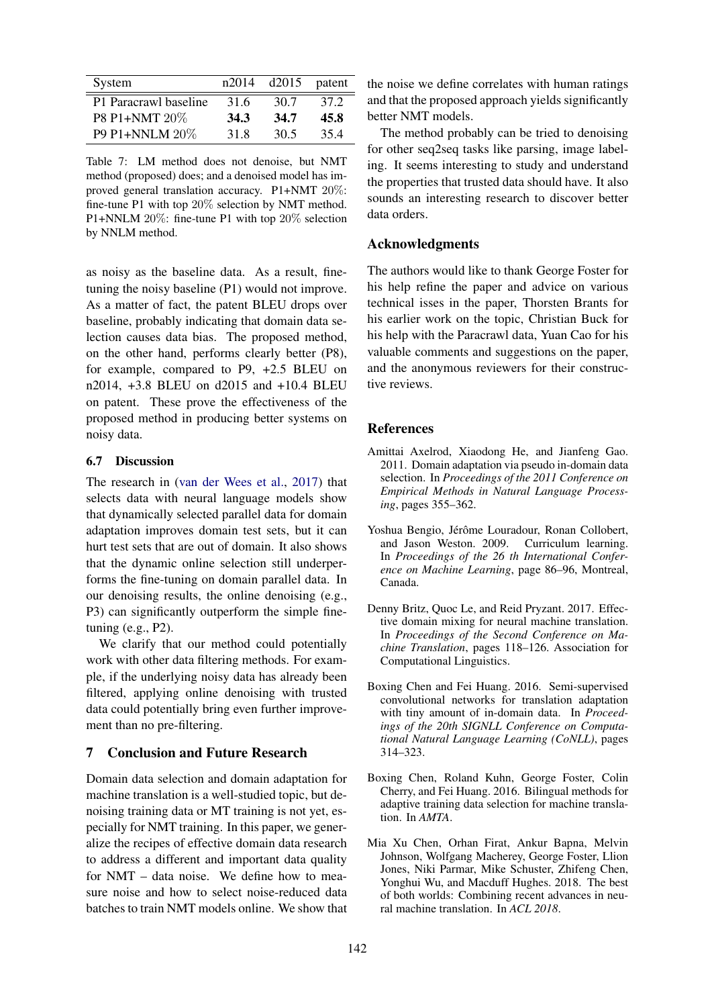| System                | n2014 | $d2015$ patent |      |
|-----------------------|-------|----------------|------|
| P1 Paracrawl baseline | 31.6  | 30.7           | 37 2 |
| P8 P1+NMT 20%         | 34.3  | 34.7           | 45.8 |
| P9 P1+NNLM 20%        | 31.8  | 30.5           | 354  |

Table 7: LM method does not denoise, but NMT method (proposed) does; and a denoised model has improved general translation accuracy. P1+NMT 20%: fine-tune P1 with top 20% selection by NMT method. P1+NNLM 20%: fine-tune P1 with top 20% selection by NNLM method.

as noisy as the baseline data. As a result, finetuning the noisy baseline (P1) would not improve. As a matter of fact, the patent BLEU drops over baseline, probably indicating that domain data selection causes data bias. The proposed method, on the other hand, performs clearly better (P8), for example, compared to P9, +2.5 BLEU on n2014, +3.8 BLEU on d2015 and +10.4 BLEU on patent. These prove the effectiveness of the proposed method in producing better systems on noisy data.

# 6.7 Discussion

The research in (van der Wees et al., 2017) that selects data with neural language models show that dynamically selected parallel data for domain adaptation improves domain test sets, but it can hurt test sets that are out of domain. It also shows that the dynamic online selection still underperforms the fine-tuning on domain parallel data. In our denoising results, the online denoising (e.g., P3) can significantly outperform the simple finetuning (e.g., P2).

We clarify that our method could potentially work with other data filtering methods. For example, if the underlying noisy data has already been filtered, applying online denoising with trusted data could potentially bring even further improvement than no pre-filtering.

# 7 Conclusion and Future Research

Domain data selection and domain adaptation for machine translation is a well-studied topic, but denoising training data or MT training is not yet, especially for NMT training. In this paper, we generalize the recipes of effective domain data research to address a different and important data quality for NMT – data noise. We define how to measure noise and how to select noise-reduced data batches to train NMT models online. We show that the noise we define correlates with human ratings and that the proposed approach yields significantly better NMT models.

The method probably can be tried to denoising for other seq2seq tasks like parsing, image labeling. It seems interesting to study and understand the properties that trusted data should have. It also sounds an interesting research to discover better data orders.

# Acknowledgments

The authors would like to thank George Foster for his help refine the paper and advice on various technical isses in the paper, Thorsten Brants for his earlier work on the topic, Christian Buck for his help with the Paracrawl data, Yuan Cao for his valuable comments and suggestions on the paper, and the anonymous reviewers for their constructive reviews.

# References

- Amittai Axelrod, Xiaodong He, and Jianfeng Gao. 2011. Domain adaptation via pseudo in-domain data selection. In *Proceedings of the 2011 Conference on Empirical Methods in Natural Language Processing*, pages 355–362.
- Yoshua Bengio, Jérôme Louradour, Ronan Collobert, and Jason Weston. 2009. Curriculum learning. In *Proceedings of the 26 th International Conference on Machine Learning*, page 86–96, Montreal, Canada.
- Denny Britz, Quoc Le, and Reid Pryzant. 2017. Effective domain mixing for neural machine translation. In *Proceedings of the Second Conference on Machine Translation*, pages 118–126. Association for Computational Linguistics.
- Boxing Chen and Fei Huang. 2016. Semi-supervised convolutional networks for translation adaptation with tiny amount of in-domain data. In *Proceedings of the 20th SIGNLL Conference on Computational Natural Language Learning (CoNLL)*, pages 314–323.
- Boxing Chen, Roland Kuhn, George Foster, Colin Cherry, and Fei Huang. 2016. Bilingual methods for adaptive training data selection for machine translation. In *AMTA*.
- Mia Xu Chen, Orhan Firat, Ankur Bapna, Melvin Johnson, Wolfgang Macherey, George Foster, Llion Jones, Niki Parmar, Mike Schuster, Zhifeng Chen, Yonghui Wu, and Macduff Hughes. 2018. The best of both worlds: Combining recent advances in neural machine translation. In *ACL 2018*.